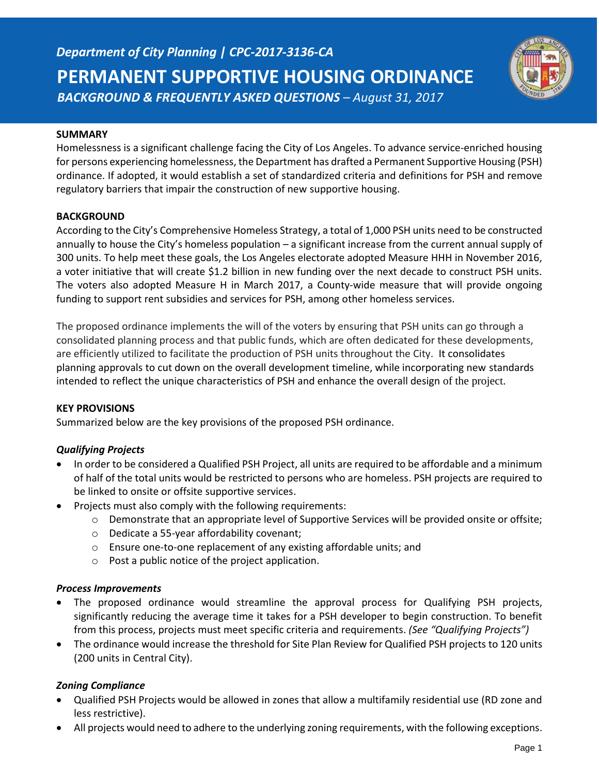

### **SUMMARY**

Homelessness is a significant challenge facing the City of Los Angeles. To advance service-enriched housing for persons experiencing homelessness, the Department has drafted a Permanent Supportive Housing (PSH) ordinance. If adopted, it would establish a set of standardized criteria and definitions for PSH and remove regulatory barriers that impair the construction of new supportive housing.

### **BACKGROUND**

According to the City's Comprehensive Homeless Strategy, a total of 1,000 PSH units need to be constructed annually to house the City's homeless population – a significant increase from the current annual supply of 300 units. To help meet these goals, the Los Angeles electorate adopted Measure HHH in November 2016, a voter initiative that will create \$1.2 billion in new funding over the next decade to construct PSH units. The voters also adopted Measure H in March 2017, a County-wide measure that will provide ongoing funding to support rent subsidies and services for PSH, among other homeless services.

The proposed ordinance implements the will of the voters by ensuring that PSH units can go through a consolidated planning process and that public funds, which are often dedicated for these developments, are efficiently utilized to facilitate the production of PSH units throughout the City. It consolidates planning approvals to cut down on the overall development timeline, while incorporating new standards intended to reflect the unique characteristics of PSH and enhance the overall design of the project.

#### **KEY PROVISIONS**

Summarized below are the key provisions of the proposed PSH ordinance.

## *Qualifying Projects*

- In order to be considered a Qualified PSH Project, all units are required to be affordable and a minimum of half of the total units would be restricted to persons who are homeless. PSH projects are required to be linked to onsite or offsite supportive services.
- Projects must also comply with the following requirements:
	- o Demonstrate that an appropriate level of Supportive Services will be provided onsite or offsite;
	- o Dedicate a 55-year affordability covenant;
	- o Ensure one-to-one replacement of any existing affordable units; and
	- o Post a public notice of the project application.

#### *Process Improvements*

- The proposed ordinance would streamline the approval process for Qualifying PSH projects, significantly reducing the average time it takes for a PSH developer to begin construction. To benefit from this process, projects must meet specific criteria and requirements. *(See "Qualifying Projects")*
- The ordinance would increase the threshold for Site Plan Review for Qualified PSH projects to 120 units (200 units in Central City).

## *Zoning Compliance*

- Qualified PSH Projects would be allowed in zones that allow a multifamily residential use (RD zone and less restrictive).
- All projects would need to adhere to the underlying zoning requirements, with the following exceptions.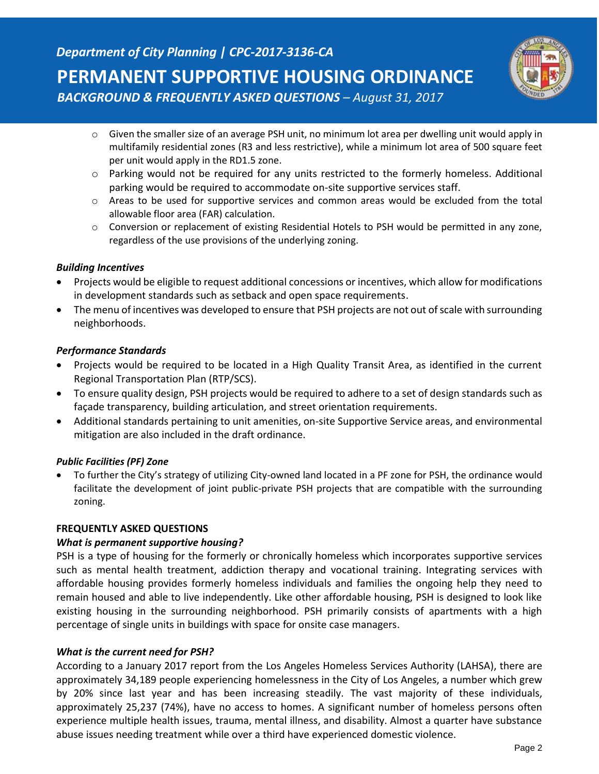

- o Given the smaller size of an average PSH unit, no minimum lot area per dwelling unit would apply in multifamily residential zones (R3 and less restrictive), while a minimum lot area of 500 square feet per unit would apply in the RD1.5 zone.
- o Parking would not be required for any units restricted to the formerly homeless. Additional parking would be required to accommodate on-site supportive services staff.
- o Areas to be used for supportive services and common areas would be excluded from the total allowable floor area (FAR) calculation.
- $\circ$  Conversion or replacement of existing Residential Hotels to PSH would be permitted in any zone, regardless of the use provisions of the underlying zoning.

## *Building Incentives*

- Projects would be eligible to request additional concessions or incentives, which allow for modifications in development standards such as setback and open space requirements.
- The menu of incentives was developed to ensure that PSH projects are not out of scale with surrounding neighborhoods.

### *Performance Standards*

- Projects would be required to be located in a High Quality Transit Area, as identified in the current Regional Transportation Plan (RTP/SCS).
- To ensure quality design, PSH projects would be required to adhere to a set of design standards such as façade transparency, building articulation, and street orientation requirements.
- Additional standards pertaining to unit amenities, on-site Supportive Service areas, and environmental mitigation are also included in the draft ordinance.

#### *Public Facilities (PF) Zone*

 To further the City's strategy of utilizing City-owned land located in a PF zone for PSH, the ordinance would facilitate the development of joint public-private PSH projects that are compatible with the surrounding zoning.

#### **FREQUENTLY ASKED QUESTIONS**

#### *What is permanent supportive housing?*

PSH is a type of housing for the formerly or chronically homeless which incorporates supportive services such as mental health treatment, addiction therapy and vocational training. Integrating services with affordable housing provides formerly homeless individuals and families the ongoing help they need to remain housed and able to live independently. Like other affordable housing, PSH is designed to look like existing housing in the surrounding neighborhood. PSH primarily consists of apartments with a high percentage of single units in buildings with space for onsite case managers.

#### *What is the current need for PSH?*

According to a January 2017 report from the Los Angeles Homeless Services Authority (LAHSA), there are approximately 34,189 people experiencing homelessness in the City of Los Angeles, a number which grew by 20% since last year and has been increasing steadily. The vast majority of these individuals, approximately 25,237 (74%), have no access to homes. A significant number of homeless persons often experience multiple health issues, trauma, mental illness, and disability. Almost a quarter have substance abuse issues needing treatment while over a third have experienced domestic violence.